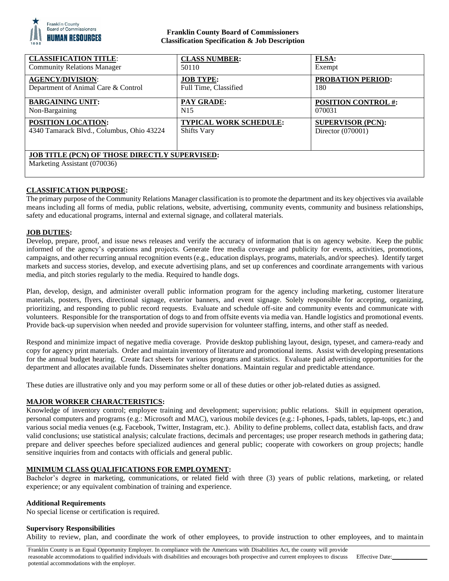

## **Franklin County Board of Commissioners Classification Specification & Job Description**

| <b>CLASSIFICATION TITLE:</b>                                                         | <b>CLASS NUMBER:</b>          | <b>FLSA:</b>               |
|--------------------------------------------------------------------------------------|-------------------------------|----------------------------|
| <b>Community Relations Manager</b>                                                   | 50110                         | Exempt                     |
| <b>AGENCY/DIVISION:</b>                                                              | <b>JOB TYPE:</b>              | <b>PROBATION PERIOD:</b>   |
| Department of Animal Care & Control                                                  | Full Time, Classified         | 180                        |
| <b>BARGAINING UNIT:</b>                                                              | <b>PAY GRADE:</b>             | <b>POSITION CONTROL #:</b> |
| Non-Bargaining                                                                       | N <sub>15</sub>               | 070031                     |
| <b>POSITION LOCATION:</b>                                                            | <b>TYPICAL WORK SCHEDULE:</b> | <b>SUPERVISOR (PCN):</b>   |
| 4340 Tamarack Blvd., Columbus, Ohio 43224                                            | <b>Shifts Vary</b>            | Director (070001)          |
| <b>JOB TITLE (PCN) OF THOSE DIRECTLY SUPERVISED:</b><br>Marketing Assistant (070036) |                               |                            |

# **CLASSIFICATION PURPOSE:**

The primary purpose of the Community Relations Manager classification is to promote the department and its key objectives via available means including all forms of media, public relations, website, advertising, community events, community and business relationships, safety and educational programs, internal and external signage, and collateral materials.

### **JOB DUTIES:**

Develop, prepare, proof, and issue news releases and verify the accuracy of information that is on agency website. Keep the public informed of the agency's operations and projects. Generate free media coverage and publicity for events, activities, promotions, campaigns, and other recurring annual recognition events (e.g., education displays, programs, materials, and/or speeches). Identify target markets and success stories, develop, and execute advertising plans, and set up conferences and coordinate arrangements with various media, and pitch stories regularly to the media. Required to handle dogs.

Plan, develop, design, and administer overall public information program for the agency including marketing, customer literature materials, posters, flyers, directional signage, exterior banners, and event signage. Solely responsible for accepting, organizing, prioritizing, and responding to public record requests. Evaluate and schedule off-site and community events and communicate with volunteers. Responsible for the transportation of dogs to and from offsite events via media van. Handle logistics and promotional events. Provide back-up supervision when needed and provide supervision for volunteer staffing, interns, and other staff as needed.

Respond and minimize impact of negative media coverage. Provide desktop publishing layout, design, typeset, and camera-ready and copy for agency print materials. Order and maintain inventory of literature and promotional items. Assist with developing presentations for the annual budget hearing. Create fact sheets for various programs and statistics. Evaluate paid advertising opportunities for the department and allocates available funds. Disseminates shelter donations. Maintain regular and predictable attendance.

These duties are illustrative only and you may perform some or all of these duties or other job-related duties as assigned.

### **MAJOR WORKER CHARACTERISTICS:**

Knowledge of inventory control; employee training and development; supervision; public relations. Skill in equipment operation, personal computers and programs (e.g.: Microsoft and MAC), various mobile devices (e.g.: I-phones, I-pads, tablets, lap-tops, etc.) and various social media venues (e.g. Facebook, Twitter, Instagram, etc.). Ability to define problems, collect data, establish facts, and draw valid conclusions; use statistical analysis; calculate fractions, decimals and percentages; use proper research methods in gathering data; prepare and deliver speeches before specialized audiences and general public; cooperate with coworkers on group projects; handle sensitive inquiries from and contacts with officials and general public.

### **MINIMUM CLASS QUALIFICATIONS FOR EMPLOYMENT:**

Bachelor's degree in marketing, communications, or related field with three (3) years of public relations, marketing, or related experience; or any equivalent combination of training and experience.

#### **Additional Requirements**

No special license or certification is required.

#### **Supervisory Responsibilities**

Ability to review, plan, and coordinate the work of other employees, to provide instruction to other employees, and to maintain